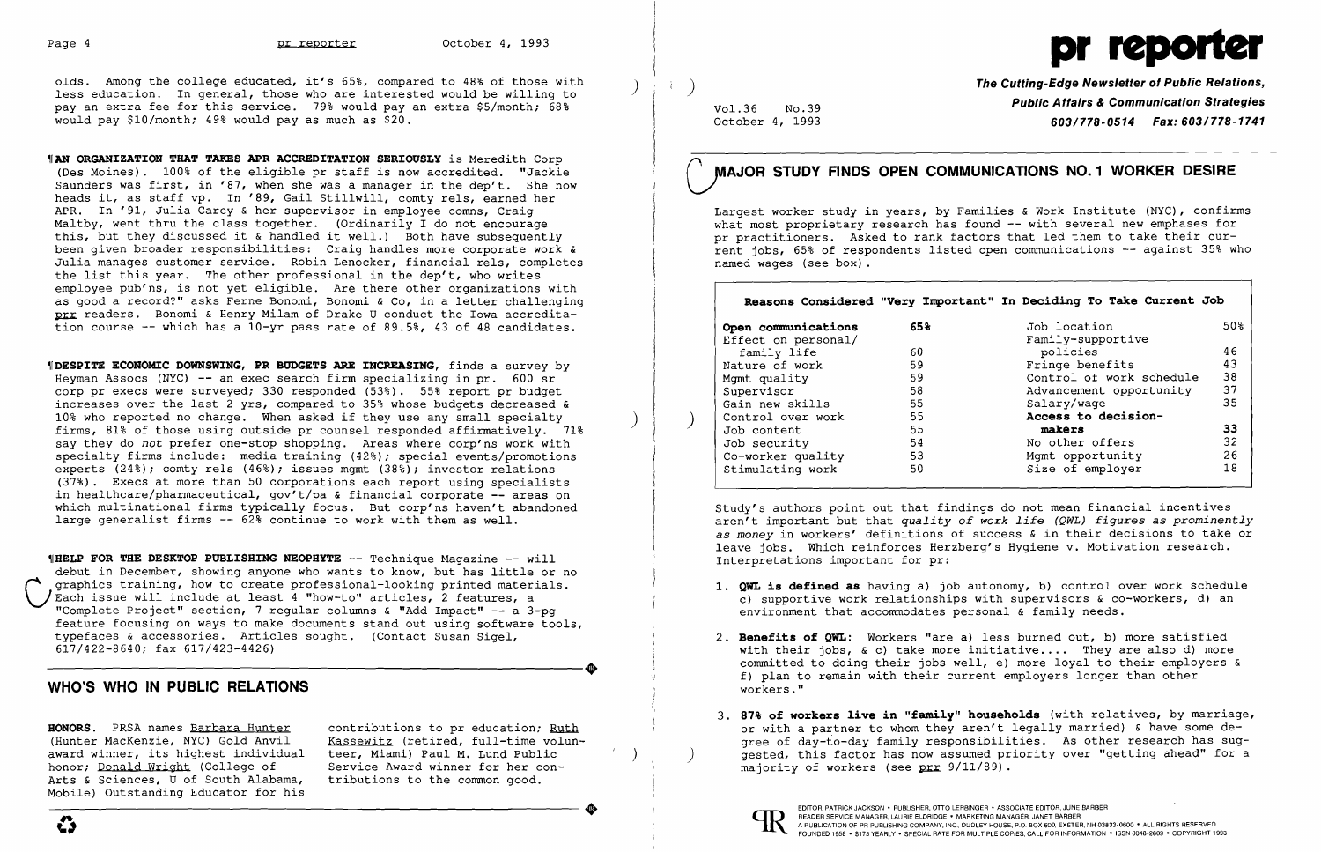

olds. Among the college educated, it's 65%, compared to 48% of those with less education. In general, those who are interested would be willing to pay an extra fee for this service. 79% would pay an extra \$5/month; 68% would pay \$10/month; 49% would pay as much as \$20.

**"IAN ORGANIZATION THAT TAKES APR ACCREDITATION SERIOUSLY** is Meredith Corp (Des Moines). 100% of the eligible pr staff is now accredited. "Jackie Saunders was first, in '87, when she was a manager in the dep't. She now heads it, as staff vp. In '89, Gail Stillwill, comty rels, earned her APR. In '91, Julia Carey & her supervisor in employee comns, Craig Maltby, went thru the class together. (Ordinarily I do not encourage this, but they discussed it & handled it well.) Both have subsequently been given broader responsibilities: Craig handles more corporate work & Julia manages customer service. Robin Lenocker, financial rels, completes the list this year. The other professional in the dep't, who writes employee pub'ns, is not yet eligible. Are there other organizations with as good a record?" asks Ferne Bonomi, Bonomi & Co, in a letter challenging prr readers. Bonomi & Henry Milam of Drake U conduct the Iowa accreditation course -- which has a 10-yr pass rate of 89.5%, 43 of 48 candidates.

TDESPITE ECONOMIC DOWNSWING, PR BUDGETS ARE INCREASING, finds a survey by Heyman Assocs (NYC)  $-$  an exec search firm specializing in pr. 600 sr corp pr execs were surveyed; 330 responded (53%). 55% report pr budget increases over the last 2 yrs, compared to 35% whose budgets decreased & 10% who reported no change. When asked if they use any small specialty firms, 81% of those using outside pr counsel responded affirmatively. 71% say they do *not* prefer one-stop shopping. Areas where corp'ns work with specialty firms include: media training (42%); special events/promotions experts (24%); comty rels (46%); issues mgmt (38%); investor relations (37%). Execs at more than 50 corporations each report using specialists in healthcare/pharmaceutical, gov't/pa & financial corporate -- areas on which multinational firms typically focus. But corp'ns haven't abandoned large generalist firms -- 62% continue to work with them as well.

**WHELP FOR THE DESKTOP PUBLISHING NEOPHYTE -- Technique Magazine -- will** debut in December, showing anyone who wants to know, but has little or no<br>graphics training, how to create professional-looking printed materials. graphics training, how to create professional-looking printed materials.<br>Each issue will include at least 4 "how-to" articles, 2 features, a "Complete Project" section, 7 regular columns & "Add Impact" -- a 3-pg feature focusing on ways to make documents stand out using software tools, typefaces & accessories. Articles sought. (Contact Susan Sigel, 617/422-8640; fax 617/423-4426) 617/422-8640; fax 617/423-4426)

The Cutting-Edge Newsletter of Public Relations, Vol.36 No.39 **Public Affairs & Communication Strategies**<br>October 4, 1993 **Public Affairs & Communication Strategies** October 4, 1993 *603/778-0514 Fax: 603/778-1741* 

1. QWL is defined as having a) job autonomy, b) control over work schedule c) supportive work relationships with supervisors & co-workers, d) an

- environment that accommodates personal & family needs.
- 2. Benefits of QWL: Workers "are a) less burned out, b) more satisfied f) plan to remain with their current employers longer than other workers."
- majority of workers (see  $prr$  9/11/89).



with their jobs,  $\& c)$  take more initiative.... They are also d) more committed to doing their jobs well, e) more loyal to their employers &

## WHO'S **WHO IN PUBLIC RELATIONS**

HONORS. PRSA names Barbara Hunter contributions to pr education; Ruth (Hunter MacKenzie, NYC) Gold Anvil Kassewitz (retired, full-time volun-(Hunter MacKenzie, NYC) Gold Anvil Kassewitz (retired, full-time vol<br>award winner, its highest individual teer, Miami) Paul M. Lund Public award winner, its highest individual teer, Miami) Paul M. Lund Public<br>honor; Donald Wright (College of Service Award winner for her conhonor; Donald Wright (College of Service Award winner for her contracts of Sciences, U of South Alabama, tributions to the common good. Arts & Sciences, U of South Alabama, Mobile) Outstanding Educator for his Arts & Sciences, U of South Alabama, tributions to the common good.<br>
Mobile) Outstanding Educator for his<br>
A publication of PR PUBLISHER, ON ONE HARBER, AND HOTEL PROPERT AND A PUBLISHER, OTTO LERBINGER • ASSOCIATE EDITOR,

 $) \vert$ 

 $\vert \quad)$ 

Largest worker study in years, by Families & Work Institute (NYC), confirms what most proprietary research has found -- with several new emphases for pr practitioners. Asked to rank factors that led them to take their current jobs, 65% of respondents listed open communications -- against 35% who named wages (see box) .

|                     |     | Reasons Considered "Very Important" In Deciding To Take Current Job |     |
|---------------------|-----|---------------------------------------------------------------------|-----|
| Open communications | 65% | Job location                                                        | 50% |
| Effect on personal/ |     | Family-supportive                                                   |     |
| family life         | 60  | policies                                                            | 46  |
| Nature of work      | 59  | Fringe benefits                                                     | 43  |
| Mqmt quality        | 59  | Control of work schedule                                            | 38  |
| Supervisor          | 58  | Advancement opportunity                                             | 37  |
| Gain new skills     | 55  | Salary/wage                                                         | 35  |
| Control over work   | 55  | Access to decision-                                                 |     |
| Job content         | 55  | makers                                                              | 33  |
| Job security        | 54  | No other offers                                                     | 32  |
| Co-worker quality   | 53  | Mgmt opportunity                                                    | 26  |
| Stimulating work    | 50  | Size of employer                                                    | 18  |

Study's authors point out that findings do not mean financial incentives aren't important but that *quality of work life (QWL) figures as prominently as money* in workers' definitions of success & in their decisions to take or leave jobs. Which reinforces Herzberg's Hygiene V. Motivation research. Interpretations important for pr:

) )

# MAJOR STUDY FINDS OPEN COMMUNICATIONS NO. 1 WORKER DESIRE

3. 87% of workers 1ive in "fami1y" househo1ds (with relatives, by marriage, or with a partner to whom they aren't legally married) & have some degree of day-to-day family responsibilities. As other research has suggested, this factor has now assumed priority over "getting ahead" for a